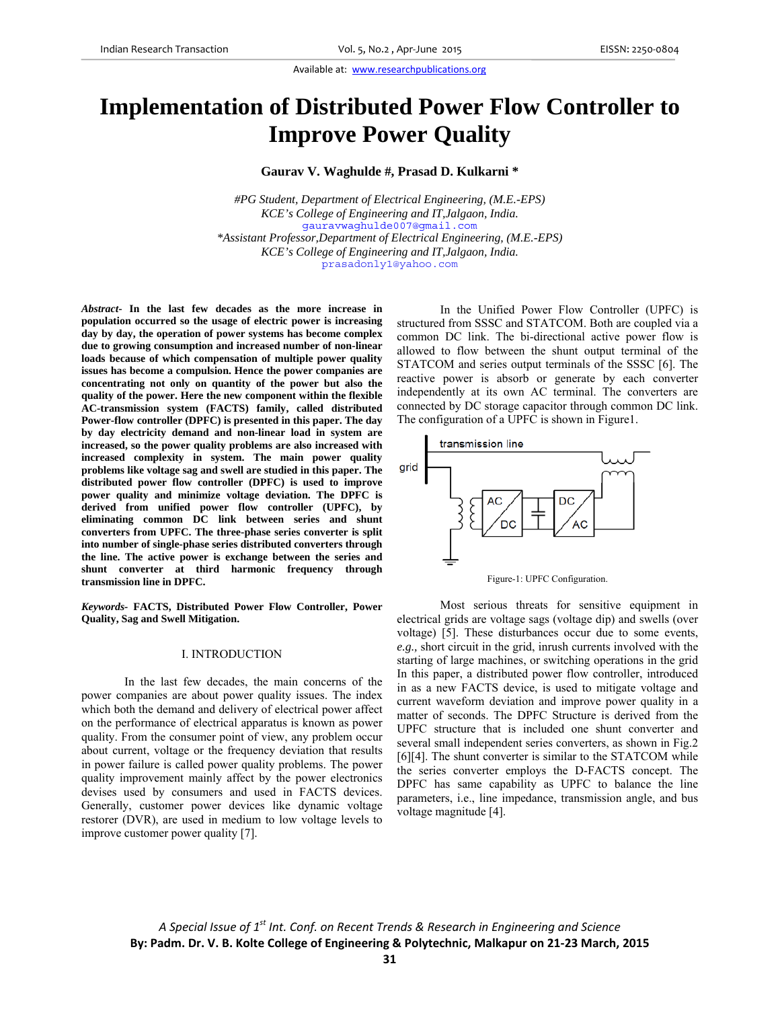# **Implementation of Distributed Power Flow Controller to Improve Power Quality**

**Gaurav V. Waghulde #, Prasad D. Kulkarni \*** 

*#PG Student, Department of Electrical Engineering, (M.E.-EPS) KCE's College of Engineering and IT,Jalgaon, India.*  gauravwaghulde007@gmail.com *\*Assistant Professor,Department of Electrical Engineering, (M.E.-EPS) KCE's College of Engineering and IT,Jalgaon, India.*  prasadonly1@yahoo.com

*Abstract***- In the last few decades as the more increase in population occurred so the usage of electric power is increasing day by day, the operation of power systems has become complex due to growing consumption and increased number of non-linear loads because of which compensation of multiple power quality issues has become a compulsion. Hence the power companies are concentrating not only on quantity of the power but also the quality of the power. Here the new component within the flexible AC-transmission system (FACTS) family, called distributed Power-flow controller (DPFC) is presented in this paper. The day by day electricity demand and non-linear load in system are increased, so the power quality problems are also increased with increased complexity in system. The main power quality problems like voltage sag and swell are studied in this paper. The distributed power flow controller (DPFC) is used to improve power quality and minimize voltage deviation. The DPFC is derived from unified power flow controller (UPFC), by eliminating common DC link between series and shunt converters from UPFC. The three-phase series converter is split into number of single-phase series distributed converters through the line. The active power is exchange between the series and shunt converter at third harmonic frequency through transmission line in DPFC.** 

*Keywords-* **FACTS, Distributed Power Flow Controller, Power Quality, Sag and Swell Mitigation.**

## I. INTRODUCTION

In the last few decades, the main concerns of the power companies are about power quality issues. The index which both the demand and delivery of electrical power affect on the performance of electrical apparatus is known as power quality. From the consumer point of view, any problem occur about current, voltage or the frequency deviation that results in power failure is called power quality problems. The power quality improvement mainly affect by the power electronics devises used by consumers and used in FACTS devices. Generally, customer power devices like dynamic voltage restorer (DVR), are used in medium to low voltage levels to improve customer power quality [7].

In the Unified Power Flow Controller (UPFC) is structured from SSSC and STATCOM. Both are coupled via a common DC link. The bi-directional active power flow is allowed to flow between the shunt output terminal of the STATCOM and series output terminals of the SSSC [6]. The reactive power is absorb or generate by each converter independently at its own AC terminal. The converters are connected by DC storage capacitor through common DC link. The configuration of a UPFC is shown in Figure1.





Most serious threats for sensitive equipment in electrical grids are voltage sags (voltage dip) and swells (over voltage) [5]. These disturbances occur due to some events, *e.g.,* short circuit in the grid, inrush currents involved with the starting of large machines, or switching operations in the grid In this paper, a distributed power flow controller, introduced in as a new FACTS device, is used to mitigate voltage and current waveform deviation and improve power quality in a matter of seconds. The DPFC Structure is derived from the UPFC structure that is included one shunt converter and several small independent series converters, as shown in Fig.2 [6][4]. The shunt converter is similar to the STATCOM while the series converter employs the D-FACTS concept. The DPFC has same capability as UPFC to balance the line parameters, i.e., line impedance, transmission angle, and bus voltage magnitude [4].

*A Special Issue of 1st Int. Conf. on Recent Trends & Research in Engineering and Science* **By: Padm. Dr. V. B. Kolte College of Engineering & Polytechnic, Malkapur on 21‐23 March, 2015**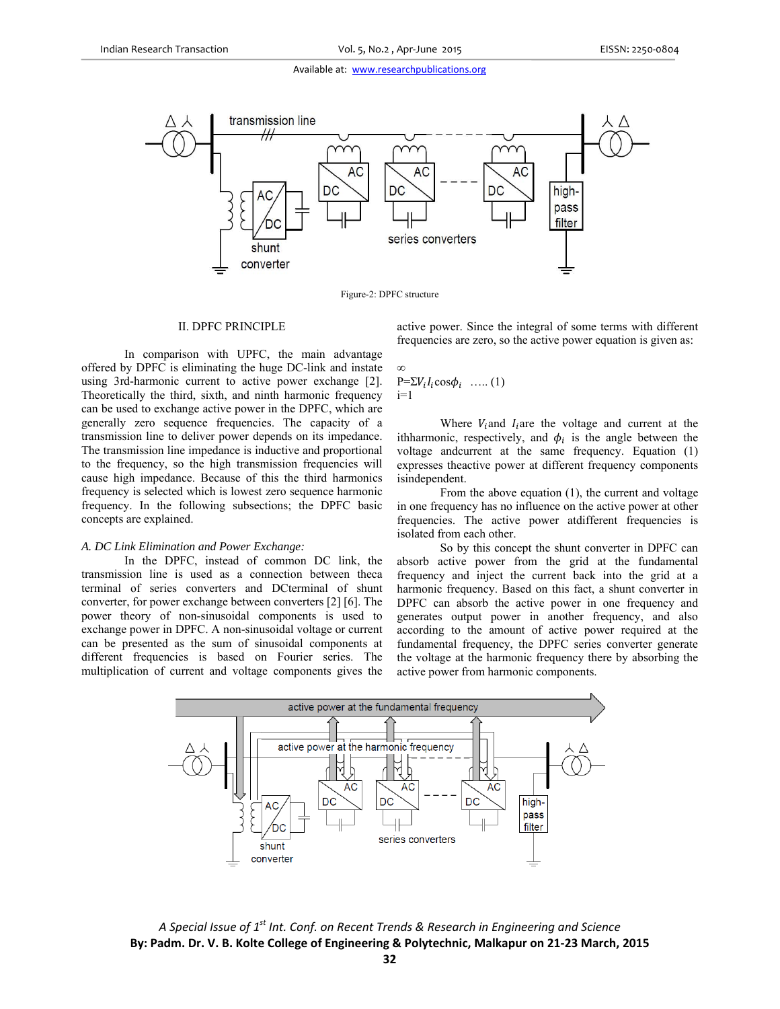

Figure-2: DPFC structure

∞

## II. DPFC PRINCIPLE

In comparison with UPFC, the main advantage offered by DPFC is eliminating the huge DC-link and instate using 3rd-harmonic current to active power exchange [2]. Theoretically the third, sixth, and ninth harmonic frequency can be used to exchange active power in the DPFC, which are generally zero sequence frequencies. The capacity of a transmission line to deliver power depends on its impedance. The transmission line impedance is inductive and proportional to the frequency, so the high transmission frequencies will cause high impedance. Because of this the third harmonics frequency is selected which is lowest zero sequence harmonic frequency. In the following subsections; the DPFC basic concepts are explained.

# *A. DC Link Elimination and Power Exchange:*

In the DPFC, instead of common DC link, the transmission line is used as a connection between theca terminal of series converters and DCterminal of shunt converter, for power exchange between converters [2] [6]. The power theory of non-sinusoidal components is used to exchange power in DPFC. A non-sinusoidal voltage or current can be presented as the sum of sinusoidal components at different frequencies is based on Fourier series. The multiplication of current and voltage components gives the active power. Since the integral of some terms with different frequencies are zero, so the active power equation is given as:

# $P=\sum V_i I_i \cos \phi_i$  ….. (1)  $i=1$

Where  $V_i$  and  $I_i$  are the voltage and current at the ithharmonic, respectively, and  $\phi_i$  is the angle between the voltage andcurrent at the same frequency. Equation (1) expresses theactive power at different frequency components isindependent.

From the above equation (1), the current and voltage in one frequency has no influence on the active power at other frequencies. The active power atdifferent frequencies is isolated from each other.

So by this concept the shunt converter in DPFC can absorb active power from the grid at the fundamental frequency and inject the current back into the grid at a harmonic frequency. Based on this fact, a shunt converter in DPFC can absorb the active power in one frequency and generates output power in another frequency, and also according to the amount of active power required at the fundamental frequency, the DPFC series converter generate the voltage at the harmonic frequency there by absorbing the active power from harmonic components.



*A Special Issue of 1st Int. Conf. on Recent Trends & Research in Engineering and Science* **By: Padm. Dr. V. B. Kolte College of Engineering & Polytechnic, Malkapur on 21‐23 March, 2015**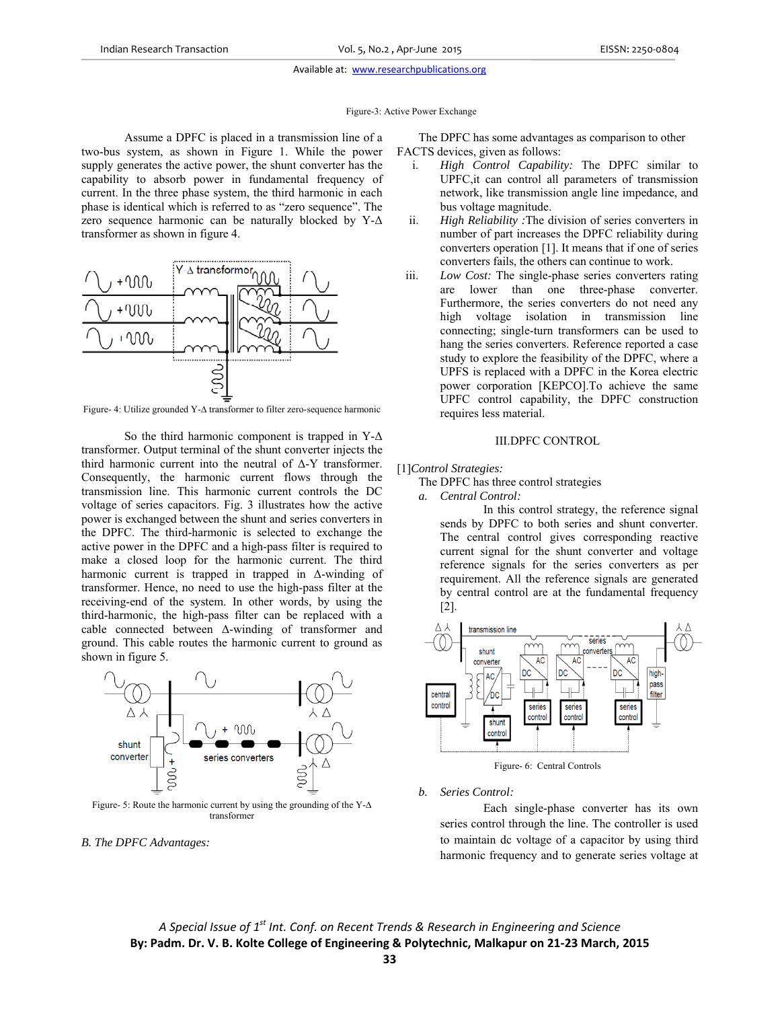Figure-3: Active Power Exchange

Assume a DPFC is placed in a transmission line of a two-bus system, as shown in Figure 1. While the power supply generates the active power, the shunt converter has the capability to absorb power in fundamental frequency of current. In the three phase system, the third harmonic in each phase is identical which is referred to as "zero sequence". The zero sequence harmonic can be naturally blocked by Y-Δ transformer as shown in figure 4.



Figure- 4: Utilize grounded Y-∆ transformer to filter zero-sequence harmonic

So the third harmonic component is trapped in  $Y-\Delta$ transformer. Output terminal of the shunt converter injects the third harmonic current into the neutral of Δ-Y transformer. Consequently, the harmonic current flows through the transmission line. This harmonic current controls the DC voltage of series capacitors. Fig. 3 illustrates how the active power is exchanged between the shunt and series converters in the DPFC. The third-harmonic is selected to exchange the active power in the DPFC and a high-pass filter is required to make a closed loop for the harmonic current. The third harmonic current is trapped in trapped in Δ-winding of transformer. Hence, no need to use the high-pass filter at the receiving-end of the system. In other words, by using the third-harmonic, the high-pass filter can be replaced with a cable connected between Δ-winding of transformer and ground. This cable routes the harmonic current to ground as shown in figure 5.



Figure- 5: Route the harmonic current by using the grounding of the Y-∆ transformer

*B. The DPFC Advantages:* 

The DPFC has some advantages as comparison to other FACTS devices, given as follows:

- i. *High Control Capability:* The DPFC similar to UPFC,it can control all parameters of transmission network, like transmission angle line impedance, and bus voltage magnitude.
- ii. *High Reliability :*The division of series converters in number of part increases the DPFC reliability during converters operation [1]. It means that if one of series converters fails, the others can continue to work.
- iii. *Low Cost:* The single-phase series converters rating are lower than one three-phase converter. Furthermore, the series converters do not need any high voltage isolation in transmission line connecting; single-turn transformers can be used to hang the series converters. Reference reported a case study to explore the feasibility of the DPFC, where a UPFS is replaced with a DPFC in the Korea electric power corporation [KEPCO].To achieve the same UPFC control capability, the DPFC construction requires less material.

# III.DPFC CONTROL

- [1]*Control Strategies:* 
	- The DPFC has three control strategies
	- *a. Central Control:*

In this control strategy, the reference signal sends by DPFC to both series and shunt converter. The central control gives corresponding reactive current signal for the shunt converter and voltage reference signals for the series converters as per requirement. All the reference signals are generated by central control are at the fundamental frequency [2].



Figure- 6: Central Controls

*b. Series Control:* 

Each single-phase converter has its own series control through the line. The controller is used to maintain dc voltage of a capacitor by using third harmonic frequency and to generate series voltage at

*A Special Issue of 1st Int. Conf. on Recent Trends & Research in Engineering and Science* **By: Padm. Dr. V. B. Kolte College of Engineering & Polytechnic, Malkapur on 21‐23 March, 2015**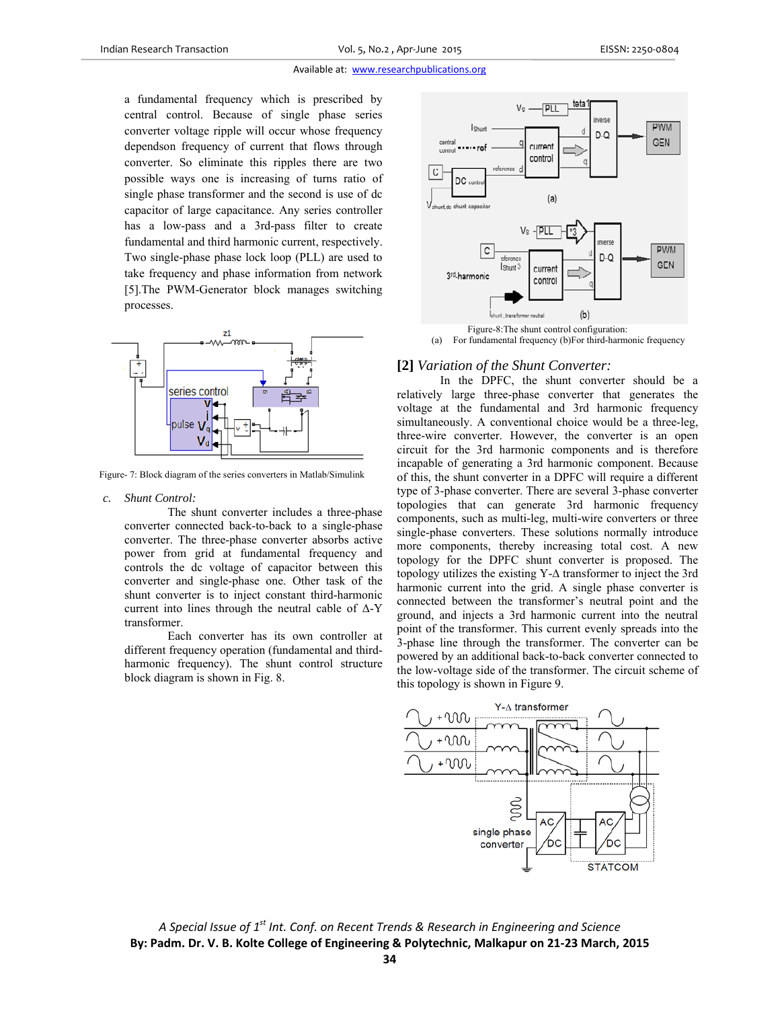a fundamental frequency which is prescribed by central control. Because of single phase series converter voltage ripple will occur whose frequency dependson frequency of current that flows through converter. So eliminate this ripples there are two possible ways one is increasing of turns ratio of single phase transformer and the second is use of dc capacitor of large capacitance. Any series controller has a low-pass and a 3rd-pass filter to create fundamental and third harmonic current, respectively. Two single-phase phase lock loop (PLL) are used to take frequency and phase information from network [5].The PWM-Generator block manages switching processes.



Figure- 7: Block diagram of the series converters in Matlab/Simulink

#### *c. Shunt Control:*

The shunt converter includes a three-phase converter connected back-to-back to a single-phase converter. The three-phase converter absorbs active power from grid at fundamental frequency and controls the dc voltage of capacitor between this converter and single-phase one. Other task of the shunt converter is to inject constant third-harmonic current into lines through the neutral cable of Δ-Y transformer.

Each converter has its own controller at different frequency operation (fundamental and thirdharmonic frequency). The shunt control structure block diagram is shown in Fig. 8.



Figure-8:The shunt control configuration:

(a) For fundamental frequency (b)For third-harmonic frequency

## **[2]** *Variation of the Shunt Converter:*

In the DPFC, the shunt converter should be a relatively large three-phase converter that generates the voltage at the fundamental and 3rd harmonic frequency simultaneously. A conventional choice would be a three-leg, three-wire converter. However, the converter is an open circuit for the 3rd harmonic components and is therefore incapable of generating a 3rd harmonic component. Because of this, the shunt converter in a DPFC will require a different type of 3-phase converter. There are several 3-phase converter topologies that can generate 3rd harmonic frequency components, such as multi-leg, multi-wire converters or three single-phase converters. These solutions normally introduce more components, thereby increasing total cost. A new topology for the DPFC shunt converter is proposed. The topology utilizes the existing Y-∆ transformer to inject the 3rd harmonic current into the grid. A single phase converter is connected between the transformer's neutral point and the ground, and injects a 3rd harmonic current into the neutral point of the transformer. This current evenly spreads into the 3-phase line through the transformer. The converter can be powered by an additional back-to-back converter connected to the low-voltage side of the transformer. The circuit scheme of this topology is shown in Figure 9.



*A Special Issue of 1st Int. Conf. on Recent Trends & Research in Engineering and Science* **By: Padm. Dr. V. B. Kolte College of Engineering & Polytechnic, Malkapur on 21‐23 March, 2015**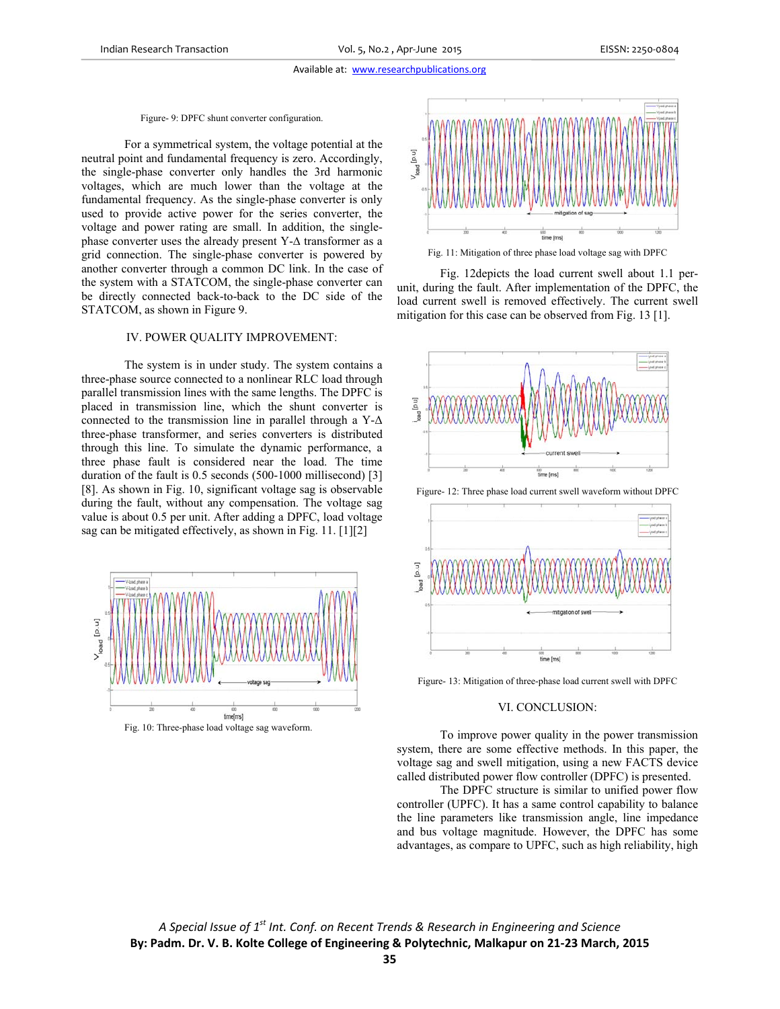## Figure- 9: DPFC shunt converter configuration.

For a symmetrical system, the voltage potential at the neutral point and fundamental frequency is zero. Accordingly, the single-phase converter only handles the 3rd harmonic voltages, which are much lower than the voltage at the fundamental frequency. As the single-phase converter is only used to provide active power for the series converter, the voltage and power rating are small. In addition, the singlephase converter uses the already present Y-∆ transformer as a grid connection. The single-phase converter is powered by another converter through a common DC link. In the case of the system with a STATCOM, the single-phase converter can be directly connected back-to-back to the DC side of the STATCOM, as shown in Figure 9.

#### IV. POWER QUALITY IMPROVEMENT:

The system is in under study. The system contains a three-phase source connected to a nonlinear RLC load through parallel transmission lines with the same lengths. The DPFC is placed in transmission line, which the shunt converter is connected to the transmission line in parallel through a  $Y-\Delta$ three-phase transformer, and series converters is distributed through this line. To simulate the dynamic performance, a three phase fault is considered near the load. The time duration of the fault is 0.5 seconds (500-1000 millisecond) [3] [8]. As shown in Fig. 10, significant voltage sag is observable during the fault, without any compensation. The voltage sag value is about 0.5 per unit. After adding a DPFC, load voltage sag can be mitigated effectively, as shown in Fig. 11. [1][2]



Fig. 10: Three-phase load voltage sag waveform.



Fig. 11: Mitigation of three phase load voltage sag with DPFC

Fig. 12depicts the load current swell about 1.1 perunit, during the fault. After implementation of the DPFC, the load current swell is removed effectively. The current swell mitigation for this case can be observed from Fig. 13 [1].



Figure- 12: Three phase load current swell waveform without DPFC



Figure- 13: Mitigation of three-phase load current swell with DPFC

## VI. CONCLUSION:

To improve power quality in the power transmission system, there are some effective methods. In this paper, the voltage sag and swell mitigation, using a new FACTS device called distributed power flow controller (DPFC) is presented.

The DPFC structure is similar to unified power flow controller (UPFC). It has a same control capability to balance the line parameters like transmission angle, line impedance and bus voltage magnitude. However, the DPFC has some advantages, as compare to UPFC, such as high reliability, high

*A Special Issue of 1st Int. Conf. on Recent Trends & Research in Engineering and Science* **By: Padm. Dr. V. B. Kolte College of Engineering & Polytechnic, Malkapur on 21‐23 March, 2015**